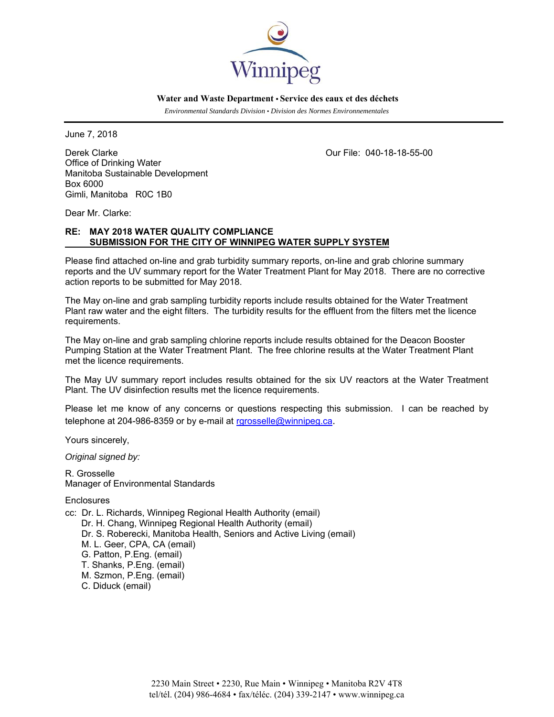

 **Water and Waste Department • Service des eaux et des déchets**

 *Environmental Standards Division • Division des Normes Environnementales* 

June 7, 2018

Derek Clarke Our File: 040-18-18-55-00 Office of Drinking Water Manitoba Sustainable Development Box 6000 Gimli, Manitoba R0C 1B0

Dear Mr. Clarke:

# **RE: MAY 2018 WATER QUALITY COMPLIANCE SUBMISSION FOR THE CITY OF WINNIPEG WATER SUPPLY SYSTEM**

Please find attached on-line and grab turbidity summary reports, on-line and grab chlorine summary reports and the UV summary report for the Water Treatment Plant for May 2018. There are no corrective action reports to be submitted for May 2018.

The May on-line and grab sampling turbidity reports include results obtained for the Water Treatment Plant raw water and the eight filters. The turbidity results for the effluent from the filters met the licence requirements.

The May on-line and grab sampling chlorine reports include results obtained for the Deacon Booster Pumping Station at the Water Treatment Plant. The free chlorine results at the Water Treatment Plant met the licence requirements.

The May UV summary report includes results obtained for the six UV reactors at the Water Treatment Plant. The UV disinfection results met the licence requirements.

Please let me know of any concerns or questions respecting this submission. I can be reached by telephone at 204-986-8359 or by e-mail at rgrosselle@winnipeg.ca.

Yours sincerely,

*Original signed by:* 

R. Grosselle Manager of Environmental Standards

**Enclosures** 

cc: Dr. L. Richards, Winnipeg Regional Health Authority (email) Dr. H. Chang, Winnipeg Regional Health Authority (email) Dr. S. Roberecki, Manitoba Health, Seniors and Active Living (email) M. L. Geer, CPA, CA (email) G. Patton, P.Eng. (email) T. Shanks, P.Eng. (email) M. Szmon, P.Eng. (email)

C. Diduck (email)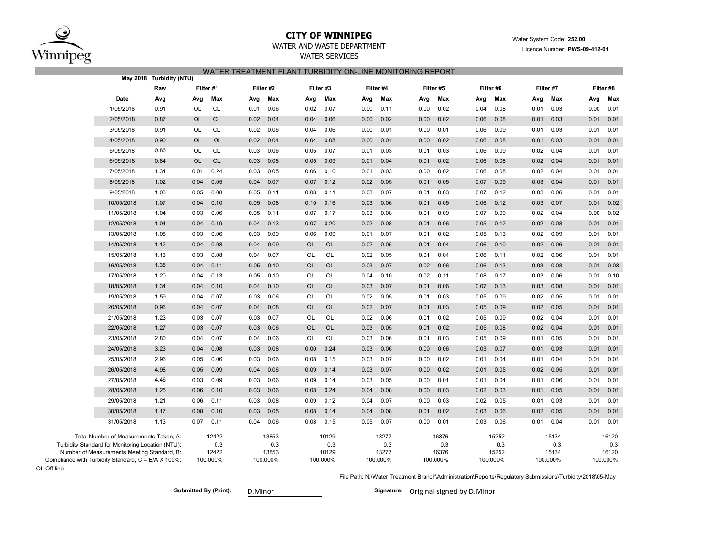

## **CITY OF WINNIPEG**WATER AND WASTE DEPARTMENT

# WATER SERVICES WATER TREATMENT PLANT TURBIDITY ON-LINE MONITORING REPORT

| Raw                                                 |                |           |           |           |           |           |           |           |  |
|-----------------------------------------------------|----------------|-----------|-----------|-----------|-----------|-----------|-----------|-----------|--|
|                                                     | Filter #1      | Filter #2 | Filter #3 | Filter #4 | Filter #5 | Filter #6 | Filter #7 | Filter #8 |  |
| Date                                                | Max            | Max       | Max       | Max       | Max       | Max       | Max       | Max       |  |
| Avg                                                 | Avg            | Avg       | Avg       | Avg       | Avg       | Avg       | Avg       | Avg       |  |
| 1/05/2018                                           | OL             | 0.06      | 0.02      | 0.00      | 0.00      | 0.04      | 0.03      | 0.00      |  |
| 0.91                                                | OL             | 0.01      | 0.07      | 0.11      | 0.02      | 0.08      | 0.01      | 0.01      |  |
| 2/05/2018                                           | OL             | 0.04      | 0.06      | 0.02      | 0.02      | 0.08      | 0.01      | 0.01      |  |
| 0.87                                                | OL             | 0.02      | 0.04      | 0.00      | 0.00      | 0.06      | 0.03      | 0.01      |  |
| 3/05/2018                                           | OL             | 0.06      | 0.04      | 0.01      | 0.01      | 0.09      | 0.03      | 0.01      |  |
| 0.91                                                | OL             | 0.02      | 0.06      | 0.00      | 0.00      | 0.06      | 0.01      | 0.01      |  |
| 4/05/2018                                           | O <sub>l</sub> | 0.04      | 0.04      | 0.00      | 0.02      | 0.06      | 0.01      | 0.01      |  |
| 0.90                                                | <b>OL</b>      | 0.02      | 0.08      | 0.01      | 0.00      | 0.08      | 0.03      | 0.01      |  |
| 5/05/2018                                           | OL             | 0.06      | 0.05      | 0.01      | 0.03      | 0.06      | 0.02      | 0.01      |  |
| 0.86                                                | OL             | 0.03      | 0.07      | 0.03      | 0.01      | 0.09      | 0.04      | 0.01      |  |
| 6/05/2018                                           | OL             | 0.08      | 0.09      | 0.01      | 0.02      | 0.06      | 0.02      | 0.01      |  |
| 0.84                                                | <b>OL</b>      | 0.03      | 0.05      | 0.04      | 0.01      | 0.08      | 0.04      | 0.01      |  |
| 7/05/2018                                           | 0.24           | 0.05      | 0.06      | 0.01      | 0.02      | 0.06      | 0.02      | 0.01      |  |
| 1.34                                                | 0.01           | 0.03      | 0.10      | 0.03      | 0.00      | 0.08      | 0.04      | 0.01      |  |
| 1.02                                                | 0.05           | 0.07      | 0.07      | 0.05      | 0.01      | 0.07      | 0.04      | 0.01      |  |
| 8/05/2018                                           | 0.04           | 0.04      | 0.12      | 0.02      | 0.05      | 0.09      | 0.03      | 0.01      |  |
| 9/05/2018                                           | 0.05           | 0.11      | 0.11      | 0.07      | 0.03      | 0.07      | 0.03      | 0.01      |  |
| 1.03                                                | 0.08           | 0.05      | 0.08      | 0.03      | 0.01      | 0.12      | 0.06      | 0.01      |  |
| 10/05/2018                                          | 0.04           | 0.08      | 0.10      | 0.03      | 0.05      | 0.06      | 0.03      | 0.02      |  |
| 1.07                                                | 0.10           | 0.05      | 0.16      | 0.06      | 0.01      | 0.12      | 0.07      | 0.01      |  |
| 11/05/2018                                          | 0.03           | 0.11      | 0.07      | 0.03      | 0.09      | 0.07      | 0.02      | 0.02      |  |
| 1.04                                                | 0.06           | 0.05      | 0.17      | 0.08      | 0.01      | 0.09      | 0.04      | 0.00      |  |
| 12/05/2018                                          | 0.19           | 0.13      | 0.20      | 0.08      | 0.06      | 0.12      | 0.08      | 0.01      |  |
| 1.04                                                | 0.04           | 0.04      | 0.07      | 0.02      | 0.01      | 0.05      | 0.02      | 0.01      |  |
| 13/05/2018                                          | 0.03           | 0.09      | 0.06      | 0.07      | 0.02      | 0.05      | 0.02      | 0.01      |  |
| 1.08                                                | 0.06           | 0.03      | 0.09      | 0.01      | 0.01      | 0.13      | 0.09      | 0.01      |  |
| 14/05/2018                                          | 0.08           | 0.09      | <b>OL</b> | 0.02      | 0.01      | 0.06      | 0.02      | 0.01      |  |
| 1.12                                                | 0.04           | 0.04      | <b>OL</b> | 0.05      | 0.04      | 0.10      | 0.06      | 0.01      |  |
| 15/05/2018                                          | 0.03           | 0.07      | <b>OL</b> | 0.02      | 0.04      | 0.06      | 0.06      | 0.01      |  |
| 1.13                                                | 0.08           | 0.04      | <b>OL</b> | 0.05      | 0.01      | 0.11      | 0.02      | 0.01      |  |
| 16/05/2018                                          | 0.04           | 0.10      | <b>OL</b> | 0.03      | 0.06      | 0.06      | 0.03      | 0.03      |  |
| 1.35                                                | 0.11           | 0.05      | OL        | 0.07      | 0.02      | 0.13      | 0.08      | 0.01      |  |
| 17/05/2018                                          | 0.04           | 0.10      | OL        | 0.04      | 0.11      | 0.08      | 0.03      | 0.10      |  |
| 1.20                                                | 0.13           | 0.05      | OL        | 0.10      | 0.02      | 0.17      | 0.06      | 0.01      |  |
| 18/05/2018                                          | 0.04           | 0.10      | <b>OL</b> | 0.07      | 0.06      | 0.13      | 0.08      | 0.01      |  |
| 1.34                                                | 0.10           | 0.04      | <b>OL</b> | 0.03      | 0.01      | 0.07      | 0.03      | 0.01      |  |
| 19/05/2018                                          | 0.07           | 0.06      | OL        | 0.05      | 0.03      | 0.09      | 0.05      | 0.01      |  |
| 1.59                                                | 0.04           | 0.03      | OL        | 0.02      | 0.01      | 0.05      | 0.02      | 0.01      |  |
| 0.96                                                | 0.07           | 0.08      | <b>OL</b> | 0.02      | 0.01      | 0.05      | 0.05      | 0.01      |  |
| 20/05/2018                                          | 0.04           | 0.04      | <b>OL</b> | 0.07      | 0.03      | 0.09      | 0.02      | 0.01      |  |
| 21/05/2018                                          | 0.07           | 0.07      | OL        | 0.02      | 0.02      | 0.09      | 0.04      | 0.01      |  |
| 1.23                                                | 0.03           | 0.03      | OL        | 0.06      | 0.01      | 0.05      | 0.02      | 0.01      |  |
| 22/05/2018                                          | 0.03           | 0.06      | <b>OL</b> | 0.03      | 0.02      | 0.05      | 0.02      | 0.01      |  |
| 1.27                                                | 0.07           | 0.03      | <b>OL</b> | 0.05      | 0.01      | 0.08      | 0.04      | 0.01      |  |
| 23/05/2018                                          | 0.04           | 0.06      | OL        | 0.03      | 0.03      | 0.05      | 0.05      | 0.01      |  |
| 2.80                                                | 0.07           | 0.04      | OL        | 0.06      | 0.01      | 0.09      | 0.01      | 0.01      |  |
| 3.23                                                | 0.08           | 0.08      | 0.24      | 0.06      | 0.06      | 0.07      | 0.03      | 0.01      |  |
| 24/05/2018                                          | 0.04           | 0.03      | 0.00      | 0.03      | 0.00      | 0.03      | 0.01      | 0.01      |  |
| 25/05/2018                                          | 0.05           | 0.06      | 0.08      | 0.07      | 0.02      | 0.04      | 0.04      | 0.01      |  |
| 2.96                                                | 0.06           | 0.03      | 0.15      | 0.03      | 0.00      | 0.01      | 0.01      | 0.01      |  |
| 26/05/2018                                          | 0.05           | 0.06      | 0.09      | 0.03      | 0.02      | 0.01      | 0.02      | 0.01      |  |
| 4.98                                                | 0.09           | 0.04      | 0.14      | 0.07      | 0.00      | 0.05      | 0.05      | 0.01      |  |
| 27/05/2018                                          | 0.09           | 0.06      | 0.09      | 0.05      | 0.01      | 0.04      | 0.06      | 0.01      |  |
| 4.46                                                | 0.03           | 0.03      | 0.14      | 0.03      | 0.00      | 0.01      | 0.01      | 0.01      |  |
| 28/05/2018                                          | 0.06           | 0.06      | 0.08      | 0.04      | 0.03      | 0.02      | 0.01      | 0.01      |  |
| 1.25                                                | 0.10           | 0.03      | 0.24      | 0.08      | 0.00      | 0.03      | 0.05      | 0.01      |  |
| 29/05/2018                                          | 0.06           | 0.08      | 0.09      | 0.04      | 0.03      | 0.02      | 0.01      | 0.01      |  |
| 1.21                                                | 0.11           | 0.03      | 0.12      | 0.07      | 0.00      | 0.05      | 0.03      | 0.01      |  |
| 30/05/2018                                          | 0.10           | 0.03      | 0.08      | 0.04      | 0.01      | 0.03      | 0.02      | 0.01      |  |
| 1.17                                                | 0.08           | 0.05      | 0.14      | 0.08      | 0.02      | 0.06      | 0.05      | 0.01      |  |
| 31/05/2018                                          | 0.07           | 0.06      | 0.08      | 0.05      | 0.01      | 0.03      | 0.01      | 0.01      |  |
| 1.13                                                | 0.11           | 0.04      | 0.15      | 0.07      | 0.00      | 0.06      | 0.04      | 0.01      |  |
| Total Number of Measurements Taken, A:              | 12422          | 13853     | 10129     | 13277     | 16376     | 15252     | 15134     | 16120     |  |
| Turbidity Standard for Monitoring Location (NTU):   | 0.3            | 0.3       | 0.3       | 0.3       | 0.3       | 0.3       | 0.3       | 0.3       |  |
| Number of Measurements Meeting Standard, B:         | 12422          | 13853     | 10129     | 13277     | 16376     | 15252     | 15134     | 16120     |  |
| Compliance with Turbidity Standard, C = B/A X 100%: | 100.000%       | 100.000%  | 100.000%  | 100.000%  | 100.000%  | 100.000%  | 100.000%  | 100.000%  |  |

OL Off-line

File Path: N:\Water Treatment Branch\Administration\Reports\Regulatory Submissions\Turbidity\2018\05-May

Submitted By (Print): D.Minor **Communist Communist Communist Communist Communist Communist Communist Communist Communist Communist Communist Communist Communist Communist Communist Communist Communist Communist Communist C**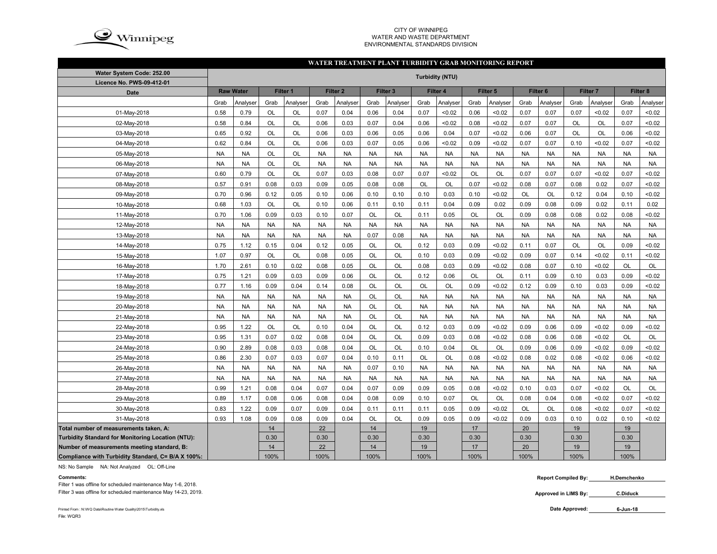

#### CITY OF WINNIPEG WATER AND WASTE DEPARTMENTENVIRONMENTAL STANDARDS DIVISION

### **WATER TREATMENT PLANT TURBIDITY GRAB MONITORING REPORT**

| Water System Code: 252.00                          |           |                  |           |           |           |                     |           |           |           | <b>Turbidity (NTU)</b> |           |                     |           |                     |           |                     |           |           |
|----------------------------------------------------|-----------|------------------|-----------|-----------|-----------|---------------------|-----------|-----------|-----------|------------------------|-----------|---------------------|-----------|---------------------|-----------|---------------------|-----------|-----------|
| Licence No. PWS-09-412-01                          |           |                  |           |           |           |                     |           |           |           |                        |           |                     |           |                     |           |                     |           |           |
| <b>Date</b>                                        |           | <b>Raw Water</b> |           | Filter 1  |           | Filter <sub>2</sub> |           | Filter 3  |           | Filter 4               |           | Filter <sub>5</sub> |           | Filter <sub>6</sub> |           | Filter <sub>7</sub> |           | Filter 8  |
|                                                    | Grab      | Analyser         | Grab      | Analyser  | Grab      | Analyser            | Grab      | Analyser  | Grab      | Analyser               | Grab      | Analyser            | Grab      | Analyser            | Grab      | Analyser            | Grab      | Analyser  |
| 01-May-2018                                        | 0.58      | 0.79             | OL        | OL        | 0.07      | 0.04                | 0.06      | 0.04      | 0.07      | < 0.02                 | 0.06      | < 0.02              | 0.07      | 0.07                | 0.07      | <0.02               | 0.07      | < 0.02    |
| 02-May-2018                                        | 0.58      | 0.84             | OL        | OL        | 0.06      | 0.03                | 0.07      | 0.04      | 0.06      | < 0.02                 | 0.08      | < 0.02              | 0.07      | 0.07                | <b>OL</b> | OL                  | 0.07      | < 0.02    |
| 03-May-2018                                        | 0.65      | 0.92             | OL        | OL        | 0.06      | 0.03                | 0.06      | 0.05      | 0.06      | 0.04                   | 0.07      | < 0.02              | 0.06      | 0.07                | <b>OL</b> | OL                  | 0.06      | < 0.02    |
| 04-May-2018                                        | 0.62      | 0.84             | OL        | OL        | 0.06      | 0.03                | 0.07      | 0.05      | 0.06      | < 0.02                 | 0.09      | < 0.02              | 0.07      | 0.07                | 0.10      | < 0.02              | 0.07      | <0.02     |
| 05-May-2018                                        | <b>NA</b> | <b>NA</b>        | OL        | OL        | <b>NA</b> | <b>NA</b>           | <b>NA</b> | <b>NA</b> | <b>NA</b> | <b>NA</b>              | <b>NA</b> | <b>NA</b>           | <b>NA</b> | <b>NA</b>           | <b>NA</b> | <b>NA</b>           | <b>NA</b> | <b>NA</b> |
| 06-May-2018                                        | <b>NA</b> | <b>NA</b>        | OL        | OL        | <b>NA</b> | <b>NA</b>           | <b>NA</b> | <b>NA</b> | <b>NA</b> | <b>NA</b>              | <b>NA</b> | <b>NA</b>           | <b>NA</b> | <b>NA</b>           | <b>NA</b> | <b>NA</b>           | <b>NA</b> | NA        |
| 07-May-2018                                        | 0.60      | 0.79             | OL        | OL        | 0.07      | 0.03                | 0.08      | 0.07      | 0.07      | < 0.02                 | OL        | OL                  | 0.07      | 0.07                | 0.07      | < 0.02              | 0.07      | < 0.02    |
| 08-May-2018                                        | 0.57      | 0.91             | 0.08      | 0.03      | 0.09      | 0.05                | 0.08      | 0.08      | OL        | OL                     | 0.07      | < 0.02              | 0.08      | 0.07                | 0.08      | 0.02                | 0.07      | < 0.02    |
| 09-May-2018                                        | 0.70      | 0.96             | 0.12      | 0.05      | 0.10      | 0.06                | 0.10      | 0.10      | 0.10      | 0.03                   | 0.10      | < 0.02              | <b>OL</b> | <b>OL</b>           | 0.12      | 0.04                | 0.10      | <0.02     |
| 10-May-2018                                        | 0.68      | 1.03             | OL        | OL        | 0.10      | 0.06                | 0.11      | 0.10      | 0.11      | 0.04                   | 0.09      | 0.02                | 0.09      | 0.08                | 0.09      | 0.02                | 0.11      | 0.02      |
| 11-May-2018                                        | 0.70      | 1.06             | 0.09      | 0.03      | 0.10      | 0.07                | OL        | OL        | 0.11      | 0.05                   | OL        | OL                  | 0.09      | 0.08                | 0.08      | 0.02                | 0.08      | < 0.02    |
| 12-May-2018                                        | <b>NA</b> | <b>NA</b>        | <b>NA</b> | <b>NA</b> | <b>NA</b> | <b>NA</b>           | <b>NA</b> | <b>NA</b> | <b>NA</b> | <b>NA</b>              | <b>NA</b> | <b>NA</b>           | <b>NA</b> | <b>NA</b>           | <b>NA</b> | <b>NA</b>           | <b>NA</b> | <b>NA</b> |
| 13-May-2018                                        | <b>NA</b> | <b>NA</b>        | <b>NA</b> | <b>NA</b> | <b>NA</b> | <b>NA</b>           | 0.07      | 0.08      | <b>NA</b> | <b>NA</b>              | <b>NA</b> | <b>NA</b>           | <b>NA</b> | <b>NA</b>           | <b>NA</b> | <b>NA</b>           | <b>NA</b> | <b>NA</b> |
| 14-May-2018                                        | 0.75      | 1.12             | 0.15      | 0.04      | 0.12      | 0.05                | <b>OL</b> | OL        | 0.12      | 0.03                   | 0.09      | < 0.02              | 0.11      | 0.07                | <b>OL</b> | OL                  | 0.09      | < 0.02    |
| 15-May-2018                                        | 1.07      | 0.97             | OL        | OL        | 0.08      | 0.05                | OL        | OL        | 0.10      | 0.03                   | 0.09      | < 0.02              | 0.09      | 0.07                | 0.14      | < 0.02              | 0.11      | < 0.02    |
| 16-May-2018                                        | 1.70      | 2.61             | 0.10      | 0.02      | 0.08      | 0.05                | OL        | OL        | 0.08      | 0.03                   | 0.09      | < 0.02              | 0.08      | 0.07                | 0.10      | <0.02               | OL        | OL        |
| 17-May-2018                                        | 0.75      | 1.21             | 0.09      | 0.03      | 0.09      | 0.06                | OL        | OL        | 0.12      | 0.06                   | OL        | OL                  | 0.11      | 0.09                | 0.10      | 0.03                | 0.09      | < 0.02    |
| 18-May-2018                                        | 0.77      | 1.16             | 0.09      | 0.04      | 0.14      | 0.08                | OL        | OL        | OL        | OL                     | 0.09      | < 0.02              | 0.12      | 0.09                | 0.10      | 0.03                | 0.09      | <0.02     |
| 19-May-2018                                        | <b>NA</b> | <b>NA</b>        | <b>NA</b> | <b>NA</b> | <b>NA</b> | <b>NA</b>           | <b>OL</b> | OL        | <b>NA</b> | <b>NA</b>              | <b>NA</b> | <b>NA</b>           | <b>NA</b> | <b>NA</b>           | <b>NA</b> | <b>NA</b>           | <b>NA</b> | <b>NA</b> |
| 20-May-2018                                        | <b>NA</b> | <b>NA</b>        | <b>NA</b> | <b>NA</b> | <b>NA</b> | <b>NA</b>           | <b>OL</b> | OL        | <b>NA</b> | <b>NA</b>              | <b>NA</b> | <b>NA</b>           | <b>NA</b> | <b>NA</b>           | <b>NA</b> | <b>NA</b>           | <b>NA</b> | <b>NA</b> |
| 21-May-2018                                        | <b>NA</b> | <b>NA</b>        | <b>NA</b> | <b>NA</b> | <b>NA</b> | <b>NA</b>           | OL        | OL        | <b>NA</b> | <b>NA</b>              | <b>NA</b> | <b>NA</b>           | <b>NA</b> | <b>NA</b>           | <b>NA</b> | <b>NA</b>           | <b>NA</b> | <b>NA</b> |
| 22-May-2018                                        | 0.95      | 1.22             | OL        | OL        | 0.10      | 0.04                | OL        | OL        | 0.12      | 0.03                   | 0.09      | < 0.02              | 0.09      | 0.06                | 0.09      | < 0.02              | 0.09      | < 0.02    |
| 23-May-2018                                        | 0.95      | 1.31             | 0.07      | 0.02      | 0.08      | 0.04                | OL        | OL        | 0.09      | 0.03                   | 0.08      | < 0.02              | 0.08      | 0.06                | 0.08      | < 0.02              | OL        | OL        |
| 24-May-2018                                        | 0.90      | 2.89             | 0.08      | 0.03      | 0.08      | 0.04                | <b>OL</b> | OL        | 0.10      | 0.04                   | <b>OL</b> | OL                  | 0.09      | 0.06                | 0.09      | < 0.02              | 0.09      | < 0.02    |
| 25-May-2018                                        | 0.86      | 2.30             | 0.07      | 0.03      | 0.07      | 0.04                | 0.10      | 0.11      | OL        | OL                     | 0.08      | < 0.02              | 0.08      | 0.02                | 0.08      | < 0.02              | 0.06      | <0.02     |
| 26-May-2018                                        | <b>NA</b> | <b>NA</b>        | <b>NA</b> | <b>NA</b> | <b>NA</b> | <b>NA</b>           | 0.07      | 0.10      | <b>NA</b> | <b>NA</b>              | <b>NA</b> | <b>NA</b>           | <b>NA</b> | <b>NA</b>           | <b>NA</b> | <b>NA</b>           | <b>NA</b> | <b>NA</b> |
| 27-May-2018                                        | <b>NA</b> | <b>NA</b>        | <b>NA</b> | <b>NA</b> | <b>NA</b> | <b>NA</b>           | <b>NA</b> | <b>NA</b> | <b>NA</b> | <b>NA</b>              | <b>NA</b> | <b>NA</b>           | <b>NA</b> | <b>NA</b>           | <b>NA</b> | <b>NA</b>           | <b>NA</b> | <b>NA</b> |
| 28-May-2018                                        | 0.99      | 1.21             | 0.08      | 0.04      | 0.07      | 0.04                | 0.07      | 0.09      | 0.09      | 0.05                   | 0.08      | < 0.02              | 0.10      | 0.03                | 0.07      | <0.02               | OL        | OL        |
| 29-May-2018                                        | 0.89      | 1.17             | 0.08      | 0.06      | 0.08      | 0.04                | 0.08      | 0.09      | 0.10      | 0.07                   | <b>OL</b> | OL                  | 0.08      | 0.04                | 0.08      | < 0.02              | 0.07      | < 0.02    |
| 30-May-2018                                        | 0.83      | 1.22             | 0.09      | 0.07      | 0.09      | 0.04                | 0.11      | 0.11      | 0.11      | 0.05                   | 0.09      | < 0.02              | <b>OL</b> | <b>OL</b>           | 0.08      | < 0.02              | 0.07      | < 0.02    |
| 31-May-2018                                        | 0.93      | 1.08             | 0.09      | 0.08      | 0.09      | 0.04                | OL        | OL        | 0.09      | 0.05                   | 0.09      | < 0.02              | 0.09      | 0.03                | 0.10      | 0.02                | 0.10      | < 0.02    |
| Total number of measurements taken, A:             |           |                  | 14        |           | 22        |                     | 14        |           | 19        |                        | 17        |                     | 20        |                     | 19        |                     | 19        |           |
| Turbidity Standard for Monitoring Location (NTU):  |           |                  | 0.30      |           | 0.30      |                     | 0.30      |           | 0.30      |                        | 0.30      |                     | 0.30      |                     | 0.30      |                     | 0.30      |           |
| Number of measurements meeting standard, B:        |           |                  | 14        |           | 22        |                     | 14        |           | 19        |                        | 17        |                     | 20        |                     | 19        |                     | 19        |           |
| Compliance with Turbidity Standard, C= B/A X 100%: |           |                  | 100%      |           | 100%      |                     | 100%      |           | 100%      |                        | 100%      |                     | 100%      |                     | 100%      |                     | 100%      |           |

NS: No Sample NA: Not Analyzed OL: Off-Line

### **Comments:**

Filter 1 was offline for scheduled maintenance May 1-6, 2018.

Filter 3 was offline for scheduled maintenance May 14-23, 2019.

 **Report Compiled By: H.Demchenko**

**Approved in LIMS By: C.Diduck**

Printed From : N:\WQ Data\Routine Water Quality\2015\Turbidity.xls **Date Approved:** File: WQR3

**6-Jun-18**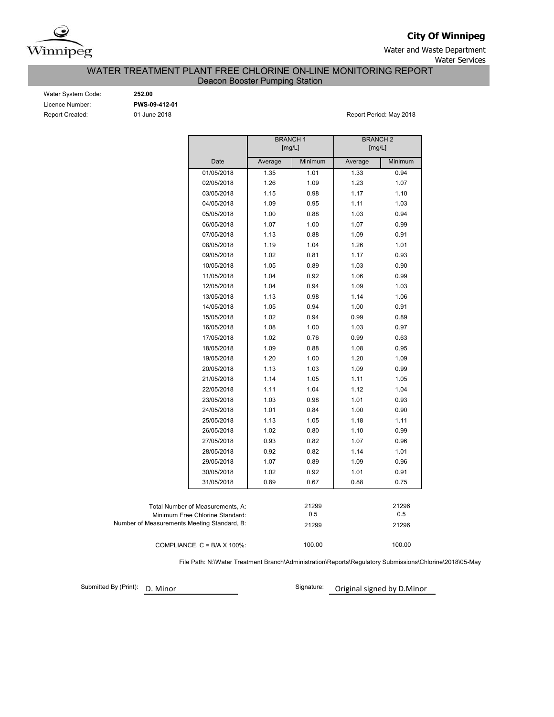

**City Of Winnipeg**

Water and Waste Department Water Services

WATER TREATMENT PLANT FREE CHLORINE ON-LINE MONITORING REPORT

Deacon Booster Pumping Station

| Water System Code:     |
|------------------------|
| Licence Number:        |
| <b>Report Created:</b> |

Water System Code: **252.00** Licence Number: **PWS-09-412-01**

01 June 2018 **Report Period: May 2018** 

|                                             |         | <b>BRANCH1</b><br>[mg/L] | <b>BRANCH2</b><br>[mg/L] |         |  |  |  |  |
|---------------------------------------------|---------|--------------------------|--------------------------|---------|--|--|--|--|
| Date                                        | Average | Minimum                  | Average                  | Minimum |  |  |  |  |
| 01/05/2018                                  | 1.35    | 1.01                     | 1.33                     | 0.94    |  |  |  |  |
| 02/05/2018                                  | 1.26    | 1.09                     | 1.23                     | 1.07    |  |  |  |  |
| 03/05/2018                                  | 1.15    | 0.98                     | 1.17                     | 1.10    |  |  |  |  |
| 04/05/2018                                  | 1.09    | 0.95                     | 1.11                     | 1.03    |  |  |  |  |
| 05/05/2018                                  | 1.00    | 0.88                     | 1.03                     | 0.94    |  |  |  |  |
| 06/05/2018                                  | 1.07    | 1.00                     | 1.07                     | 0.99    |  |  |  |  |
| 07/05/2018                                  | 1.13    | 0.88                     | 1.09                     | 0.91    |  |  |  |  |
| 08/05/2018                                  | 1.19    | 1.04                     | 1.26                     | 1.01    |  |  |  |  |
| 09/05/2018                                  | 1.02    | 0.81                     | 1.17                     | 0.93    |  |  |  |  |
| 10/05/2018                                  | 1.05    | 0.89                     | 1.03                     | 0.90    |  |  |  |  |
| 11/05/2018                                  | 1.04    | 0.92                     | 1.06                     | 0.99    |  |  |  |  |
| 12/05/2018                                  | 1.04    | 0.94                     | 1.09                     | 1.03    |  |  |  |  |
| 13/05/2018                                  | 1.13    | 0.98                     | 1.14                     | 1.06    |  |  |  |  |
| 14/05/2018                                  | 1.05    | 0.94                     | 1.00                     | 0.91    |  |  |  |  |
| 15/05/2018                                  | 1.02    | 0.94                     | 0.99                     | 0.89    |  |  |  |  |
| 16/05/2018                                  | 1.08    | 1.00                     | 1.03                     | 0.97    |  |  |  |  |
| 17/05/2018                                  | 1.02    | 0.76                     | 0.99                     | 0.63    |  |  |  |  |
| 18/05/2018                                  | 1.09    | 0.88                     | 1.08                     | 0.95    |  |  |  |  |
| 19/05/2018                                  | 1.20    | 1.00                     | 1.20                     | 1.09    |  |  |  |  |
| 20/05/2018                                  | 1.13    | 1.03                     | 1.09                     | 0.99    |  |  |  |  |
| 21/05/2018                                  | 1.14    | 1.05                     | 1.11                     | 1.05    |  |  |  |  |
| 22/05/2018                                  | 1.11    | 1.04                     | 1.12                     | 1.04    |  |  |  |  |
| 23/05/2018                                  | 1.03    | 0.98                     | 1.01                     | 0.93    |  |  |  |  |
| 24/05/2018                                  | 1.01    | 0.84                     | 1.00                     | 0.90    |  |  |  |  |
| 25/05/2018                                  | 1.13    | 1.05                     | 1.18                     | 1.11    |  |  |  |  |
| 26/05/2018                                  | 1.02    | 0.80                     | 1.10                     | 0.99    |  |  |  |  |
| 27/05/2018                                  | 0.93    | 0.82                     | 1.07                     | 0.96    |  |  |  |  |
| 28/05/2018                                  | 0.92    | 0.82                     | 1.14                     | 1.01    |  |  |  |  |
| 29/05/2018                                  | 1.07    | 0.89                     | 1.09                     | 0.96    |  |  |  |  |
| 30/05/2018                                  | 1.02    | 0.92                     | 1.01                     | 0.91    |  |  |  |  |
| 31/05/2018                                  | 0.89    | 0.67                     | 0.88                     | 0.75    |  |  |  |  |
|                                             |         |                          |                          |         |  |  |  |  |
| Total Number of Measurements, A:            |         | 21299                    |                          | 21296   |  |  |  |  |
| Minimum Free Chlorine Standard:             |         | 0.5                      |                          | 0.5     |  |  |  |  |
| Number of Measurements Meeting Standard, B: |         | 21299                    |                          | 21296   |  |  |  |  |
| COMPLIANCE, $C = B/A \times 100\%$ :        |         | 100.00                   |                          | 100.00  |  |  |  |  |

File Path: N:\Water Treatment Branch\Administration\Reports\Regulatory Submissions\Chlorine\2018\05-May

Submitted By (Print): D. Minor Signature: Original signed by D. Minor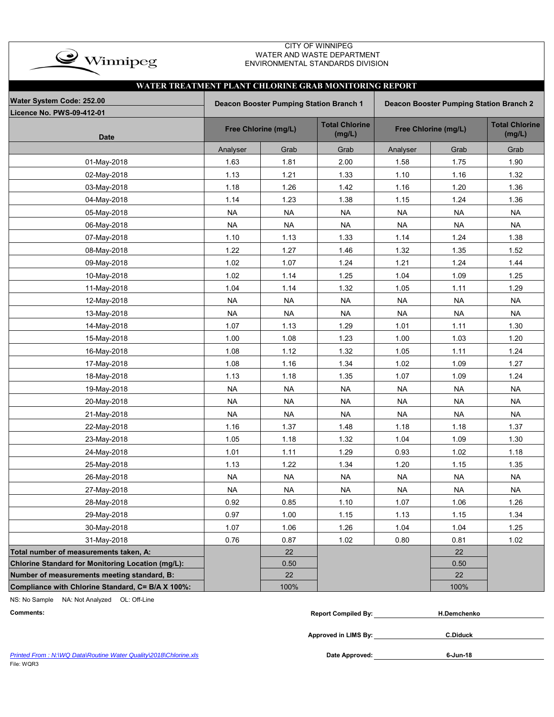

### CITY OF WINNIPEG WATER AND WASTE DEPARTMENT ENVIRONMENTAL STANDARDS DIVISION

|                                                   | WATER TREATMENT PLANT CHLORINE GRAB MONITORING REPORT |                                         |                                 |           |                                                |                                 |  |  |  |  |  |  |  |
|---------------------------------------------------|-------------------------------------------------------|-----------------------------------------|---------------------------------|-----------|------------------------------------------------|---------------------------------|--|--|--|--|--|--|--|
| Water System Code: 252.00                         |                                                       | Deacon Booster Pumping Station Branch 1 |                                 |           | <b>Deacon Booster Pumping Station Branch 2</b> |                                 |  |  |  |  |  |  |  |
| Licence No. PWS-09-412-01<br><b>Date</b>          |                                                       | Free Chlorine (mg/L)                    | <b>Total Chlorine</b><br>(mg/L) |           | Free Chlorine (mg/L)                           | <b>Total Chlorine</b><br>(mg/L) |  |  |  |  |  |  |  |
|                                                   | Analyser                                              | Grab                                    | Grab                            | Analyser  | Grab                                           | Grab                            |  |  |  |  |  |  |  |
| 01-May-2018                                       | 1.63                                                  | 1.81                                    | 2.00                            | 1.58      | 1.75                                           | 1.90                            |  |  |  |  |  |  |  |
| 02-May-2018                                       | 1.13                                                  | 1.21                                    | 1.33                            | 1.10      | 1.16                                           | 1.32                            |  |  |  |  |  |  |  |
| 03-May-2018                                       | 1.18                                                  | 1.26                                    | 1.42                            | 1.16      | 1.20                                           | 1.36                            |  |  |  |  |  |  |  |
| 04-May-2018                                       | 1.14                                                  | 1.23                                    | 1.38                            | 1.15      | 1.24                                           | 1.36                            |  |  |  |  |  |  |  |
| 05-May-2018                                       | <b>NA</b>                                             | <b>NA</b>                               | <b>NA</b>                       | <b>NA</b> | <b>NA</b>                                      | <b>NA</b>                       |  |  |  |  |  |  |  |
| 06-May-2018                                       | <b>NA</b>                                             | <b>NA</b>                               | <b>NA</b>                       | <b>NA</b> | <b>NA</b>                                      | <b>NA</b>                       |  |  |  |  |  |  |  |
| 07-May-2018                                       | 1.10                                                  | 1.13                                    | 1.33                            | 1.14      | 1.24                                           | 1.38                            |  |  |  |  |  |  |  |
| 08-May-2018                                       | 1.22                                                  | 1.27                                    | 1.46                            | 1.32      | 1.35                                           | 1.52                            |  |  |  |  |  |  |  |
| 09-May-2018                                       | 1.02                                                  | 1.07                                    | 1.24                            | 1.21      | 1.24                                           | 1.44                            |  |  |  |  |  |  |  |
| 10-May-2018                                       | 1.02                                                  | 1.14                                    | 1.25                            | 1.04      | 1.09                                           | 1.25                            |  |  |  |  |  |  |  |
| 11-May-2018                                       | 1.04                                                  | 1.14                                    | 1.32                            | 1.05      | 1.11                                           | 1.29                            |  |  |  |  |  |  |  |
| 12-May-2018                                       | <b>NA</b>                                             | <b>NA</b>                               | <b>NA</b>                       | <b>NA</b> | <b>NA</b>                                      | <b>NA</b>                       |  |  |  |  |  |  |  |
| 13-May-2018                                       | <b>NA</b>                                             | <b>NA</b>                               | <b>NA</b>                       | <b>NA</b> | <b>NA</b>                                      | <b>NA</b>                       |  |  |  |  |  |  |  |
| 14-May-2018                                       | 1.07                                                  | 1.13                                    | 1.29                            | 1.01      | 1.11                                           | 1.30                            |  |  |  |  |  |  |  |
| 15-May-2018                                       | 1.00                                                  | 1.08                                    | 1.23                            | 1.00      | 1.03                                           | 1.20                            |  |  |  |  |  |  |  |
| 16-May-2018                                       | 1.08                                                  | 1.12                                    | 1.32                            | 1.05      | 1.11                                           | 1.24                            |  |  |  |  |  |  |  |
| 17-May-2018                                       | 1.08                                                  | 1.16                                    | 1.34                            | 1.02      | 1.09                                           | 1.27                            |  |  |  |  |  |  |  |
| 18-May-2018                                       | 1.13                                                  | 1.18                                    | 1.35                            | 1.07      | 1.09                                           | 1.24                            |  |  |  |  |  |  |  |
| 19-May-2018                                       | <b>NA</b>                                             | <b>NA</b>                               | <b>NA</b>                       | <b>NA</b> | <b>NA</b>                                      | <b>NA</b>                       |  |  |  |  |  |  |  |
| 20-May-2018                                       | <b>NA</b>                                             | <b>NA</b>                               | <b>NA</b>                       | <b>NA</b> | <b>NA</b>                                      | <b>NA</b>                       |  |  |  |  |  |  |  |
| 21-May-2018                                       | <b>NA</b>                                             | <b>NA</b>                               | <b>NA</b>                       | <b>NA</b> | <b>NA</b>                                      | <b>NA</b>                       |  |  |  |  |  |  |  |
| 22-May-2018                                       | 1.16                                                  | 1.37                                    | 1.48                            | 1.18      | 1.18                                           | 1.37                            |  |  |  |  |  |  |  |
| 23-May-2018                                       | 1.05                                                  | 1.18                                    | 1.32                            | 1.04      | 1.09                                           | 1.30                            |  |  |  |  |  |  |  |
| 24-May-2018                                       | 1.01                                                  | 1.11                                    | 1.29                            | 0.93      | 1.02                                           | 1.18                            |  |  |  |  |  |  |  |
| 25-May-2018                                       | 1.13                                                  | 1.22                                    | 1.34                            | 1.20      | 1.15                                           | 1.35                            |  |  |  |  |  |  |  |
| 26-May-2018                                       | <b>NA</b>                                             | <b>NA</b>                               | <b>NA</b>                       | <b>NA</b> | <b>NA</b>                                      | <b>NA</b>                       |  |  |  |  |  |  |  |
| 27-May-2018                                       | NA.                                                   | NA                                      | NA.                             | <b>NA</b> | NA                                             | NA                              |  |  |  |  |  |  |  |
| 28-May-2018                                       | 0.92                                                  | 0.85                                    | 1.10                            | 1.07      | 1.06                                           | 1.26                            |  |  |  |  |  |  |  |
| 29-May-2018                                       | 0.97                                                  | 1.00                                    | 1.15                            | 1.13      | 1.15                                           | 1.34                            |  |  |  |  |  |  |  |
| 30-May-2018                                       | 1.07                                                  | 1.06                                    | 1.26                            | 1.04      | 1.04                                           | 1.25                            |  |  |  |  |  |  |  |
| 31-May-2018                                       | 0.76                                                  | 0.87                                    | 1.02                            | 0.80      | 0.81                                           | 1.02                            |  |  |  |  |  |  |  |
| Total number of measurements taken, A:            |                                                       | 22                                      |                                 |           | 22                                             |                                 |  |  |  |  |  |  |  |
| Chlorine Standard for Monitoring Location (mg/L): |                                                       | 0.50                                    |                                 |           | 0.50                                           |                                 |  |  |  |  |  |  |  |
| Number of measurements meeting standard, B:       |                                                       | 22                                      |                                 |           | 22                                             |                                 |  |  |  |  |  |  |  |
| Compliance with Chlorine Standard, C= B/A X 100%: |                                                       | 100%                                    |                                 |           | 100%                                           |                                 |  |  |  |  |  |  |  |

NS: No Sample NA: Not Analyzed OL: Off-Line

|  | Comments: | Compiled Bv:<br><b>Report</b> | H.Demchenko |
|--|-----------|-------------------------------|-------------|
|--|-----------|-------------------------------|-------------|

**Approved in LIMS By:**

**C.Diduck**

| Printed From: N: WQ Data Routine Water Quality 2018 Chlorine.xls | Date Approved: | 6-Jun-18 |
|------------------------------------------------------------------|----------------|----------|
| File: WQR3                                                       |                |          |